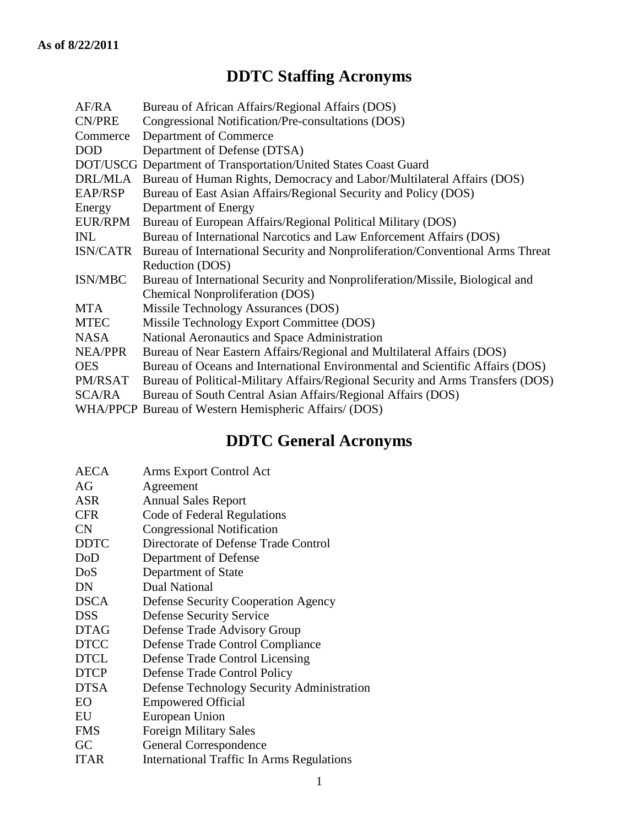## **DDTC Staffing Acronyms**

| AF/RA          | Bureau of African Affairs/Regional Affairs (DOS)                                |
|----------------|---------------------------------------------------------------------------------|
| CN/PRE         | Congressional Notification/Pre-consultations (DOS)                              |
| Commerce       | Department of Commerce                                                          |
| <b>DOD</b>     | Department of Defense (DTSA)                                                    |
|                | DOT/USCG Department of Transportation/United States Coast Guard                 |
| DRL/MLA        | Bureau of Human Rights, Democracy and Labor/Multilateral Affairs (DOS)          |
| EAP/RSP        | Bureau of East Asian Affairs/Regional Security and Policy (DOS)                 |
| Energy         | Department of Energy                                                            |
| EUR/RPM        | Bureau of European Affairs/Regional Political Military (DOS)                    |
| <b>INL</b>     | Bureau of International Narcotics and Law Enforcement Affairs (DOS)             |
| ISN/CATR       | Bureau of International Security and Nonproliferation/Conventional Arms Threat  |
|                | Reduction (DOS)                                                                 |
| ISN/MBC        | Bureau of International Security and Nonproliferation/Missile, Biological and   |
|                | <b>Chemical Nonproliferation (DOS)</b>                                          |
| <b>MTA</b>     | Missile Technology Assurances (DOS)                                             |
| <b>MTEC</b>    | Missile Technology Export Committee (DOS)                                       |
| <b>NASA</b>    | National Aeronautics and Space Administration                                   |
| <b>NEA/PPR</b> | Bureau of Near Eastern Affairs/Regional and Multilateral Affairs (DOS)          |
| <b>OES</b>     | Bureau of Oceans and International Environmental and Scientific Affairs (DOS)   |
| PM/RSAT        | Bureau of Political-Military Affairs/Regional Security and Arms Transfers (DOS) |
| SCA/RA         | Bureau of South Central Asian Affairs/Regional Affairs (DOS)                    |
|                | WHA/PPCP Bureau of Western Hemispheric Affairs/ (DOS)                           |
|                |                                                                                 |

## **DDTC General Acronyms**

| <b>AECA</b> | Arms Export Control Act                          |
|-------------|--------------------------------------------------|
| AG          | Agreement                                        |
| <b>ASR</b>  | <b>Annual Sales Report</b>                       |
| <b>CFR</b>  | Code of Federal Regulations                      |
| CN          | <b>Congressional Notification</b>                |
| <b>DDTC</b> | Directorate of Defense Trade Control             |
| DoD         | Department of Defense                            |
| DoS         | Department of State                              |
| DN          | Dual National                                    |
| <b>DSCA</b> | <b>Defense Security Cooperation Agency</b>       |
| <b>DSS</b>  | <b>Defense Security Service</b>                  |
| <b>DTAG</b> | Defense Trade Advisory Group                     |
| <b>DTCC</b> | Defense Trade Control Compliance                 |
| <b>DTCL</b> | Defense Trade Control Licensing                  |
| <b>DTCP</b> | Defense Trade Control Policy                     |
| <b>DTSA</b> | Defense Technology Security Administration       |
| EO          | <b>Empowered Official</b>                        |
| EU          | European Union                                   |
| <b>FMS</b>  | <b>Foreign Military Sales</b>                    |
| GC          | <b>General Correspondence</b>                    |
| <b>ITAR</b> | <b>International Traffic In Arms Regulations</b> |